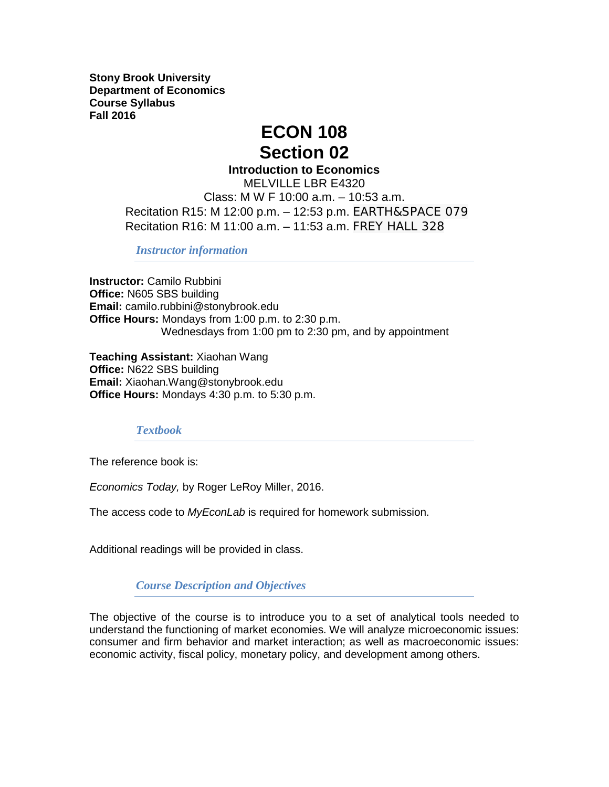**Stony Brook University Department of Economics Course Syllabus Fall 2016**

# **ECON 108 Section 02**

**Introduction to Economics**

MELVILLE LBR E4320 Class: M W F 10:00 a.m. – 10:53 a.m. Recitation R15: M 12:00 p.m. – 12:53 p.m. EARTH&SPACE 079 Recitation R16: M 11:00 a.m. – 11:53 a.m. FREY HALL 328

*Instructor information*

**Instructor:** Camilo Rubbini **Office:** N605 SBS building **Email:** camilo.rubbini@stonybrook.edu **Office Hours:** Mondays from 1:00 p.m. to 2:30 p.m. Wednesdays from 1:00 pm to 2:30 pm, and by appointment

**Teaching Assistant:** Xiaohan Wang **Office:** N622 SBS building **Email:** Xiaohan.Wang@stonybrook.edu **Office Hours:** Mondays 4:30 p.m. to 5:30 p.m.

## *Textbook*

The reference book is:

*Economics Today,* by Roger LeRoy Miller, 2016.

The access code to *MyEconLab* is required for homework submission.

Additional readings will be provided in class.

*Course Description and Objectives*

The objective of the course is to introduce you to a set of analytical tools needed to understand the functioning of market economies. We will analyze microeconomic issues: consumer and firm behavior and market interaction; as well as macroeconomic issues: economic activity, fiscal policy, monetary policy, and development among others.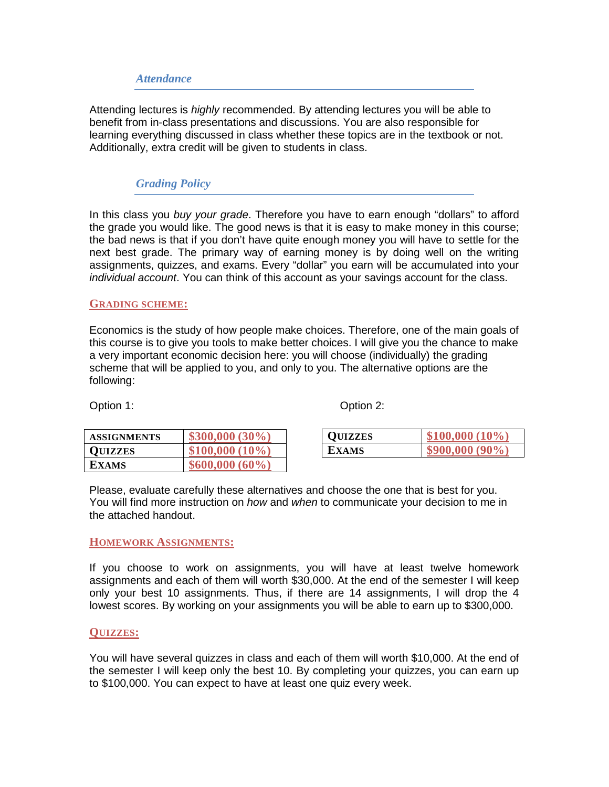### *Attendance*

Attending lectures is *highly* recommended. By attending lectures you will be able to benefit from in-class presentations and discussions. You are also responsible for learning everything discussed in class whether these topics are in the textbook or not. Additionally, extra credit will be given to students in class.

## *Grading Policy*

In this class you *buy your grade*. Therefore you have to earn enough "dollars" to afford the grade you would like. The good news is that it is easy to make money in this course; the bad news is that if you don't have quite enough money you will have to settle for the next best grade. The primary way of earning money is by doing well on the writing assignments, quizzes, and exams. Every "dollar" you earn will be accumulated into your *individual account*. You can think of this account as your savings account for the class.

### **GRADING SCHEME:**

Economics is the study of how people make choices. Therefore, one of the main goals of this course is to give you tools to make better choices. I will give you the chance to make a very important economic decision here: you will choose (individually) the grading scheme that will be applied to you, and only to you. The alternative options are the following:

Option 1: Continued by Option 2: Continued by Option 2:

**00** (10%) **800,000 (90%)** 

| <b>ASSIGNMENTS</b> | $$300,000 (30\%)$  | <b>QUIZZES</b> |  |
|--------------------|--------------------|----------------|--|
| <b>QUIZZES</b>     | $$100,000(10\%)$   | <b>EXAMS</b>   |  |
| <b>EXAMS</b>       | $$600,000~(60\%)$$ |                |  |

Please, evaluate carefully these alternatives and choose the one that is best for you. You will find more instruction on *how* and *when* to communicate your decision to me in the attached handout.

### **HOMEWORK ASSIGNMENTS:**

If you choose to work on assignments, you will have at least twelve homework assignments and each of them will worth \$30,000. At the end of the semester I will keep only your best 10 assignments. Thus, if there are 14 assignments, I will drop the 4 lowest scores. By working on your assignments you will be able to earn up to \$300,000.

#### **QUIZZES:**

You will have several quizzes in class and each of them will worth \$10,000. At the end of the semester I will keep only the best 10. By completing your quizzes, you can earn up to \$100,000. You can expect to have at least one quiz every week.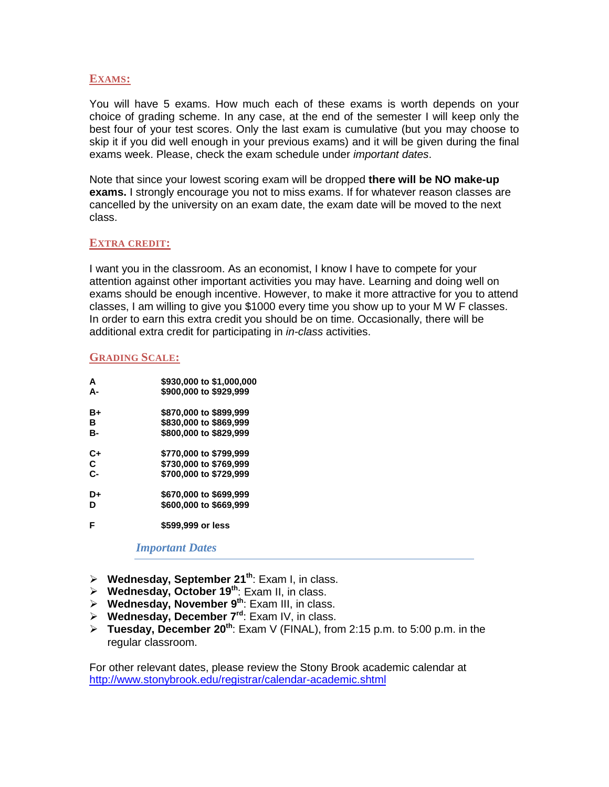### **EXAMS:**

You will have 5 exams. How much each of these exams is worth depends on your choice of grading scheme. In any case, at the end of the semester I will keep only the best four of your test scores. Only the last exam is cumulative (but you may choose to skip it if you did well enough in your previous exams) and it will be given during the final exams week. Please, check the exam schedule under *important dates*.

Note that since your lowest scoring exam will be dropped **there will be NO make-up exams.** I strongly encourage you not to miss exams. If for whatever reason classes are cancelled by the university on an exam date, the exam date will be moved to the next class.

### **EXTRA CREDIT:**

I want you in the classroom. As an economist, I know I have to compete for your attention against other important activities you may have. Learning and doing well on exams should be enough incentive. However, to make it more attractive for you to attend classes, I am willing to give you \$1000 every time you show up to your M W F classes. In order to earn this extra credit you should be on time. Occasionally, there will be additional extra credit for participating in *in-class* activities.

### **GRADING SCALE:**

| A     | \$930,000 to \$1,000,000 |
|-------|--------------------------|
| А-    | \$900,000 to \$929,999   |
| B÷    | \$870,000 to \$899,999   |
| R     | \$830,000 to \$869,999   |
| в-    | \$800,000 to \$829,999   |
| C+    | \$770,000 to \$799,999   |
| C     | \$730,000 to \$769,999   |
| $C -$ | \$700,000 to \$729,999   |
| D+    | \$670,000 to \$699,999   |
| D     | \$600,000 to \$669,999   |
| F     | \$599,999 or less        |

*Important Dates*

- **Wednesday, September 21th**: Exam I, in class.
- **Wednesday, October 19th**: Exam II, in class.
- **Wednesday, November 9th**: Exam III, in class.
- **Wednesday, December 7rd**: Exam IV, in class.
- **Tuesday, December 20th**: Exam V (FINAL), from 2:15 p.m. to 5:00 p.m. in the regular classroom.

For other relevant dates, please review the Stony Brook academic calendar at <http://www.stonybrook.edu/registrar/calendar-academic.shtml>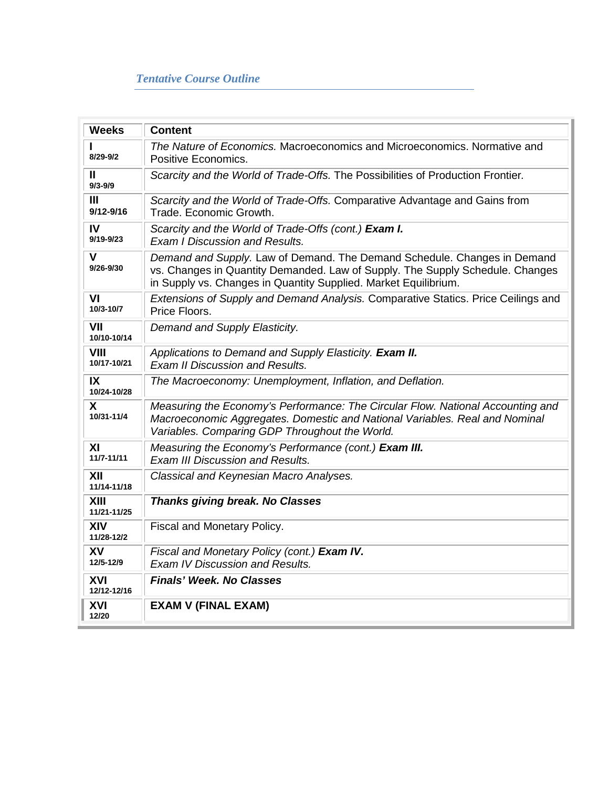| <b>Weeks</b>                    | <b>Content</b>                                                                                                                                                                                                               |
|---------------------------------|------------------------------------------------------------------------------------------------------------------------------------------------------------------------------------------------------------------------------|
| $8/29 - 9/2$                    | The Nature of Economics. Macroeconomics and Microeconomics. Normative and<br>Positive Economics.                                                                                                                             |
| Ш<br>$9/3 - 9/9$                | Scarcity and the World of Trade-Offs. The Possibilities of Production Frontier.                                                                                                                                              |
| $\mathbf{III}$<br>$9/12 - 9/16$ | Scarcity and the World of Trade-Offs. Comparative Advantage and Gains from<br>Trade. Economic Growth.                                                                                                                        |
| IV<br>$9/19 - 9/23$             | Scarcity and the World of Trade-Offs (cont.) Exam I.<br><b>Exam I Discussion and Results.</b>                                                                                                                                |
| $\mathsf{V}$<br>$9/26 - 9/30$   | Demand and Supply. Law of Demand. The Demand Schedule. Changes in Demand<br>vs. Changes in Quantity Demanded. Law of Supply. The Supply Schedule. Changes<br>in Supply vs. Changes in Quantity Supplied. Market Equilibrium. |
| VI<br>10/3-10/7                 | Extensions of Supply and Demand Analysis. Comparative Statics. Price Ceilings and<br>Price Floors.                                                                                                                           |
| VII<br>10/10-10/14              | Demand and Supply Elasticity.                                                                                                                                                                                                |
| <b>VIII</b><br>10/17-10/21      | Applications to Demand and Supply Elasticity. Exam II.<br><b>Exam II Discussion and Results.</b>                                                                                                                             |
| IX<br>10/24-10/28               | The Macroeconomy: Unemployment, Inflation, and Deflation.                                                                                                                                                                    |
| X<br>10/31-11/4                 | Measuring the Economy's Performance: The Circular Flow. National Accounting and<br>Macroeconomic Aggregates. Domestic and National Variables. Real and Nominal<br>Variables. Comparing GDP Throughout the World.             |
| XI<br>11/7-11/11                | Measuring the Economy's Performance (cont.) Exam III.<br><b>Exam III Discussion and Results.</b>                                                                                                                             |
| XII<br>11/14-11/18              | Classical and Keynesian Macro Analyses.                                                                                                                                                                                      |
| XIII<br>11/21-11/25             | <b>Thanks giving break. No Classes</b>                                                                                                                                                                                       |
| <b>XIV</b><br>11/28-12/2        | Fiscal and Monetary Policy.                                                                                                                                                                                                  |
| <b>XV</b><br>12/5-12/9          | Fiscal and Monetary Policy (cont.) Exam IV.<br><b>Exam IV Discussion and Results.</b>                                                                                                                                        |
| XVI<br>12/12-12/16              | <b>Finals' Week, No Classes</b>                                                                                                                                                                                              |
| XVI<br>12/20                    | <b>EXAM V (FINAL EXAM)</b>                                                                                                                                                                                                   |